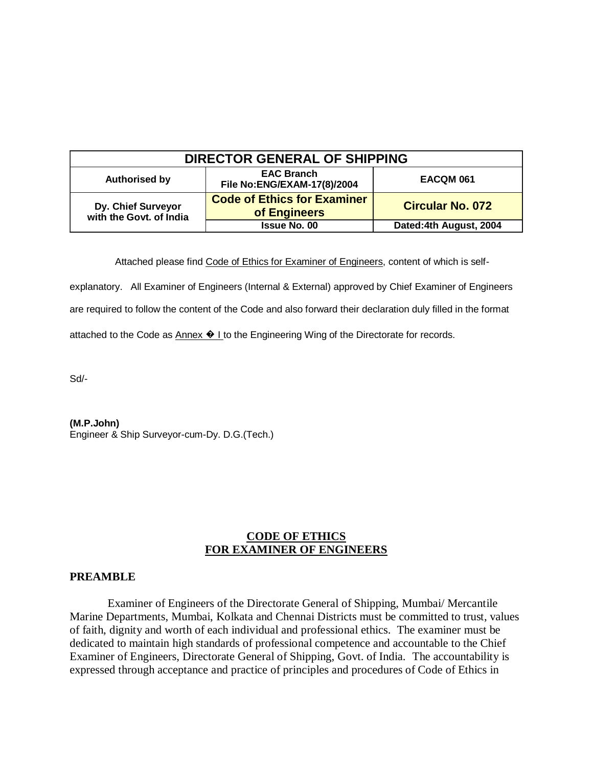| <b>DIRECTOR GENERAL OF SHIPPING</b>           |                                                    |                         |  |
|-----------------------------------------------|----------------------------------------------------|-------------------------|--|
| <b>Authorised by</b>                          | <b>EAC Branch</b><br>File No: ENG/EXAM-17(8)/2004  | <b>EACQM 061</b>        |  |
| Dy. Chief Surveyor<br>with the Govt. of India | <b>Code of Ethics for Examiner</b><br>of Engineers | <b>Circular No. 072</b> |  |
|                                               | <b>Issue No. 00</b>                                | Dated:4th August, 2004  |  |

Attached please find Code of Ethics for Examiner of Engineers, content of which is self-

explanatory. All Examiner of Engineers (Internal & External) approved by Chief Examiner of Engineers are required to follow the content of the Code and also forward their declaration duly filled in the format

attached to the Code as  $\Delta$ nnex  $\odot$  I to the Engineering Wing of the Directorate for records.

Sd/-

**(M.P.John)**

Engineer & Ship Surveyor-cum-Dy. D.G.(Tech.)

## **CODE OF ETHICS FOR EXAMINER OF ENGINEERS**

## **PREAMBLE**

 Examiner of Engineers of the Directorate General of Shipping, Mumbai/ Mercantile Marine Departments, Mumbai, Kolkata and Chennai Districts must be committed to trust, values of faith, dignity and worth of each individual and professional ethics. The examiner must be dedicated to maintain high standards of professional competence and accountable to the Chief Examiner of Engineers, Directorate General of Shipping, Govt. of India. The accountability is expressed through acceptance and practice of principles and procedures of Code of Ethics in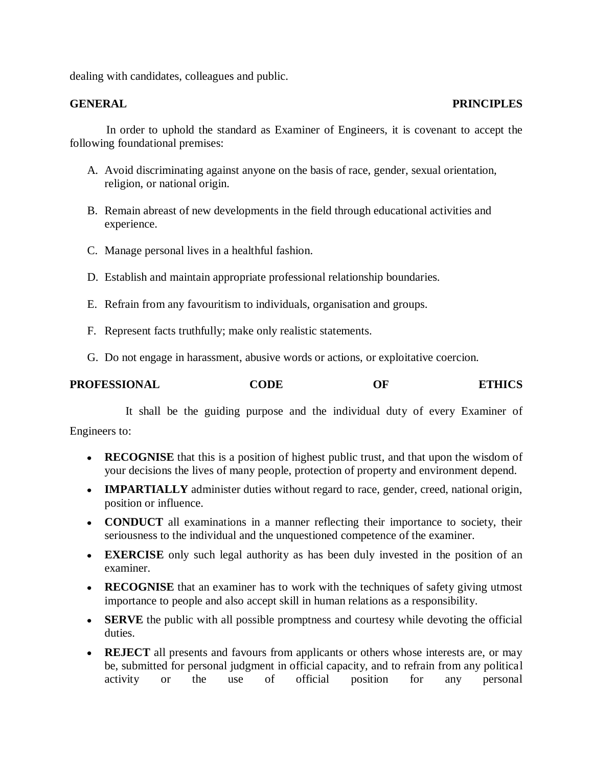dealing with candidates, colleagues and public.

## **GENERAL PRINCIPLES**

 In order to uphold the standard as Examiner of Engineers, it is covenant to accept the following foundational premises:

- A. Avoid discriminating against anyone on the basis of race, gender, sexual orientation, religion, or national origin.
- B. Remain abreast of new developments in the field through educational activities and experience.
- C. Manage personal lives in a healthful fashion.
- D. Establish and maintain appropriate professional relationship boundaries.
- E. Refrain from any favouritism to individuals, organisation and groups.
- F. Represent facts truthfully; make only realistic statements.
- G. Do not engage in harassment, abusive words or actions, or exploitative coercion.

| <b>PROFESSIONAL</b> | <b>CODE</b> | ОF | <b>ETHICS</b> |
|---------------------|-------------|----|---------------|
|                     |             |    |               |

It shall be the guiding purpose and the individual duty of every Examiner of

Engineers to:

- **RECOGNISE** that this is a position of highest public trust, and that upon the wisdom of your decisions the lives of many people, protection of property and environment depend.
- **IMPARTIALLY** administer duties without regard to race, gender, creed, national origin, position or influence.
- **CONDUCT** all examinations in a manner reflecting their importance to society, their seriousness to the individual and the unquestioned competence of the examiner.
- **EXERCISE** only such legal authority as has been duly invested in the position of an examiner.
- **RECOGNISE** that an examiner has to work with the techniques of safety giving utmost importance to people and also accept skill in human relations as a responsibility.
- **SERVE** the public with all possible promptness and courtesy while devoting the official duties.
- **REJECT** all presents and favours from applicants or others whose interests are, or may be, submitted for personal judgment in official capacity, and to refrain from any political activity or the use of official position for any personal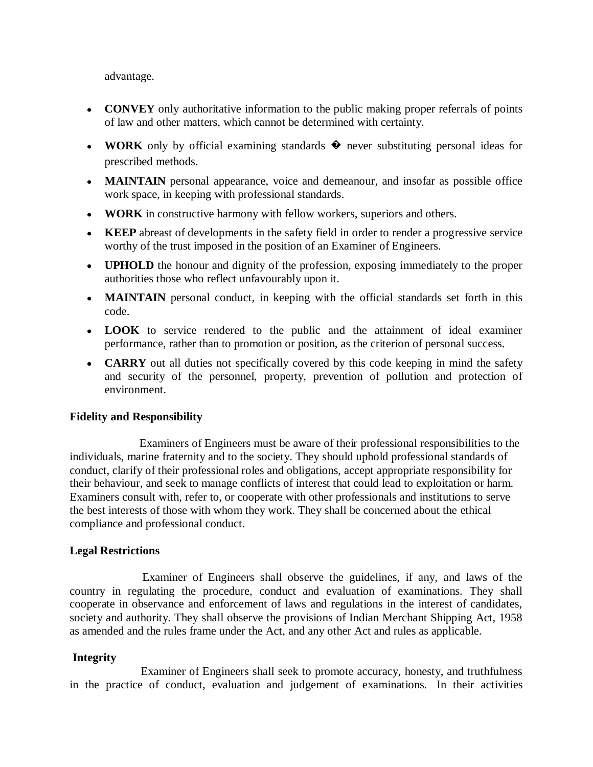advantage.

- **CONVEY** only authoritative information to the public making proper referrals of points of law and other matters, which cannot be determined with certainty.
- **WORK** only by official examining standards � never substituting personal ideas for prescribed methods.
- **MAINTAIN** personal appearance, voice and demeanour, and insofar as possible office work space, in keeping with professional standards.
- **WORK** in constructive harmony with fellow workers, superiors and others.
- **KEEP** abreast of developments in the safety field in order to render a progressive service worthy of the trust imposed in the position of an Examiner of Engineers.
- **UPHOLD** the honour and dignity of the profession, exposing immediately to the proper authorities those who reflect unfavourably upon it.
- **MAINTAIN** personal conduct, in keeping with the official standards set forth in this code.
- **LOOK** to service rendered to the public and the attainment of ideal examiner performance, rather than to promotion or position, as the criterion of personal success.
- **CARRY** out all duties not specifically covered by this code keeping in mind the safety and security of the personnel, property, prevention of pollution and protection of environment.

# **Fidelity and Responsibility**

 Examiners of Engineers must be aware of their professional responsibilities to the individuals, marine fraternity and to the society. They should uphold professional standards of conduct, clarify of their professional roles and obligations, accept appropriate responsibility for their behaviour, and seek to manage conflicts of interest that could lead to exploitation or harm. Examiners consult with, refer to, or cooperate with other professionals and institutions to serve the best interests of those with whom they work. They shall be concerned about the ethical compliance and professional conduct.

# **Legal Restrictions**

 Examiner of Engineers shall observe the guidelines, if any, and laws of the country in regulating the procedure, conduct and evaluation of examinations. They shall cooperate in observance and enforcement of laws and regulations in the interest of candidates, society and authority. They shall observe the provisions of Indian Merchant Shipping Act, 1958 as amended and the rules frame under the Act, and any other Act and rules as applicable.

# **Integrity**

 Examiner of Engineers shall seek to promote accuracy, honesty, and truthfulness in the practice of conduct, evaluation and judgement of examinations. In their activities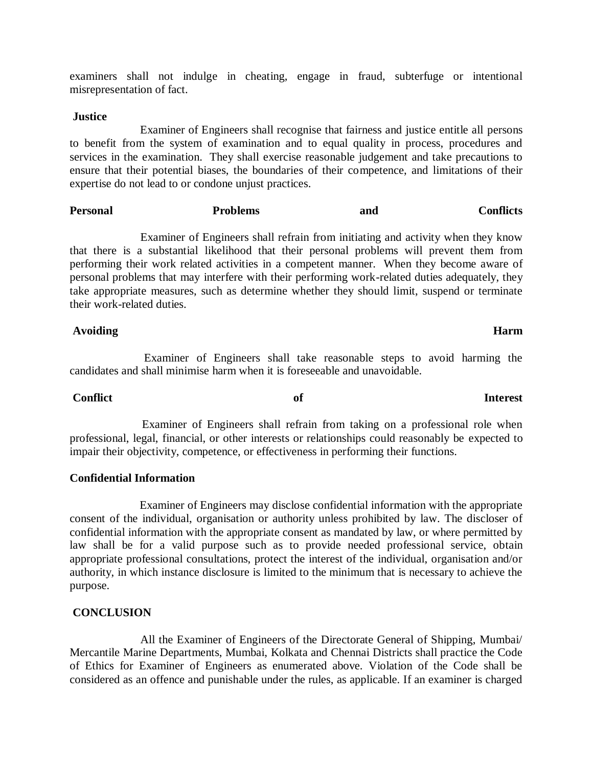examiners shall not indulge in cheating, engage in fraud, subterfuge or intentional misrepresentation of fact.

### **Justice**

 Examiner of Engineers shall recognise that fairness and justice entitle all persons to benefit from the system of examination and to equal quality in process, procedures and services in the examination. They shall exercise reasonable judgement and take precautions to ensure that their potential biases, the boundaries of their competence, and limitations of their expertise do not lead to or condone unjust practices.

## Personal **Problems** and Conflicts

 Examiner of Engineers shall refrain from initiating and activity when they know that there is a substantial likelihood that their personal problems will prevent them from performing their work related activities in a competent manner. When they become aware of personal problems that may interfere with their performing work-related duties adequately, they take appropriate measures, such as determine whether they should limit, suspend or terminate their work-related duties.

### Avoiding **Harm Harm Harm**

 Examiner of Engineers shall take reasonable steps to avoid harming the candidates and shall minimise harm when it is foreseeable and unavoidable.

### **Conflict of Interest**

 Examiner of Engineers shall refrain from taking on a professional role when professional, legal, financial, or other interests or relationships could reasonably be expected to impair their objectivity, competence, or effectiveness in performing their functions.

### **Confidential Information**

 Examiner of Engineers may disclose confidential information with the appropriate consent of the individual, organisation or authority unless prohibited by law. The discloser of confidential information with the appropriate consent as mandated by law, or where permitted by law shall be for a valid purpose such as to provide needed professional service, obtain appropriate professional consultations, protect the interest of the individual, organisation and/or authority, in which instance disclosure is limited to the minimum that is necessary to achieve the purpose.

## **CONCLUSION**

 All the Examiner of Engineers of the Directorate General of Shipping, Mumbai/ Mercantile Marine Departments, Mumbai, Kolkata and Chennai Districts shall practice the Code of Ethics for Examiner of Engineers as enumerated above. Violation of the Code shall be considered as an offence and punishable under the rules, as applicable. If an examiner is charged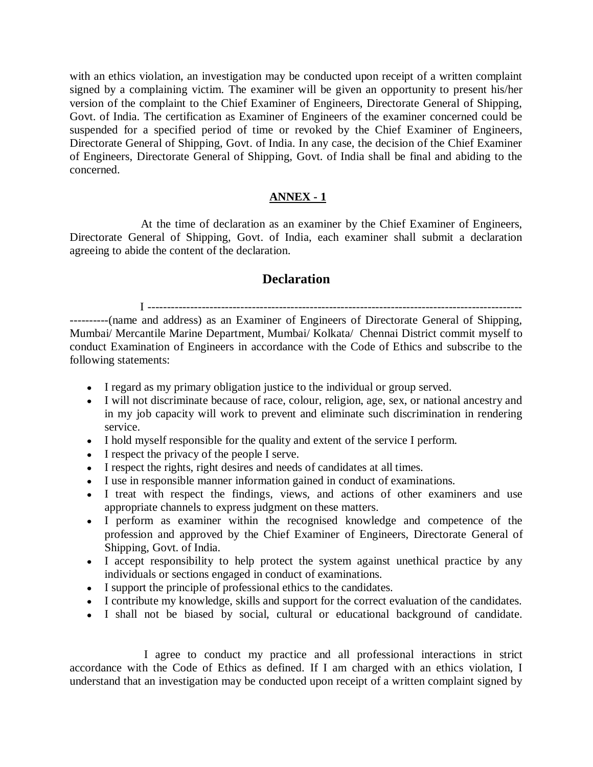with an ethics violation, an investigation may be conducted upon receipt of a written complaint signed by a complaining victim. The examiner will be given an opportunity to present his/her version of the complaint to the Chief Examiner of Engineers, Directorate General of Shipping, Govt. of India. The certification as Examiner of Engineers of the examiner concerned could be suspended for a specified period of time or revoked by the Chief Examiner of Engineers, Directorate General of Shipping, Govt. of India. In any case, the decision of the Chief Examiner of Engineers, Directorate General of Shipping, Govt. of India shall be final and abiding to the concerned.

## **ANNEX - 1**

 At the time of declaration as an examiner by the Chief Examiner of Engineers, Directorate General of Shipping, Govt. of India, each examiner shall submit a declaration agreeing to abide the content of the declaration.

# **Declaration**

I -------------------------------------------------------------------------------------------------

----------(name and address) as an Examiner of Engineers of Directorate General of Shipping, Mumbai/ Mercantile Marine Department, Mumbai/ Kolkata/ Chennai District commit myself to conduct Examination of Engineers in accordance with the Code of Ethics and subscribe to the following statements:

- I regard as my primary obligation justice to the individual or group served.
- I will not discriminate because of race, colour, religion, age, sex, or national ancestry and in my job capacity will work to prevent and eliminate such discrimination in rendering service.
- I hold myself responsible for the quality and extent of the service I perform.
- I respect the privacy of the people I serve.
- I respect the rights, right desires and needs of candidates at all times.
- I use in responsible manner information gained in conduct of examinations.
- I treat with respect the findings, views, and actions of other examiners and use appropriate channels to express judgment on these matters.
- I perform as examiner within the recognised knowledge and competence of the profession and approved by the Chief Examiner of Engineers, Directorate General of Shipping, Govt. of India.
- I accept responsibility to help protect the system against unethical practice by any individuals or sections engaged in conduct of examinations.
- I support the principle of professional ethics to the candidates.
- I contribute my knowledge, skills and support for the correct evaluation of the candidates.
- I shall not be biased by social, cultural or educational background of candidate.

 I agree to conduct my practice and all professional interactions in strict accordance with the Code of Ethics as defined. If I am charged with an ethics violation, I understand that an investigation may be conducted upon receipt of a written complaint signed by